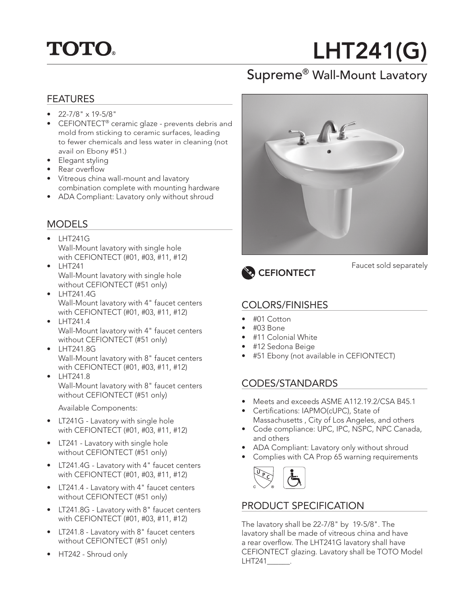## **TOTO.**

# LHT241(G)

### Supreme® Wall-Mount Lavatory

#### **FFATURES**

- 22-7/8" x 19-5/8"
- CEFIONTECT<sup>®</sup> ceramic glaze prevents debris and mold from sticking to ceramic surfaces, leading to fewer chemicals and less water in cleaning (not avail on Ebony #51.)
- Elegant styling
- Rear overflow
- Vitreous china wall-mount and lavatory combination complete with mounting hardware
- ADA Compliant: Lavatory only without shroud

#### MODELS

- LHT241G Wall-Mount lavatory with single hole with CEFIONTECT (#01, #03, #11, #12)
- LHT241 Wall-Mount lavatory with single hole without CEFIONTECT (#51 only)
- LHT241.4G Wall-Mount lavatory with 4" faucet centers with CEFIONTECT (#01, #03, #11, #12)
- $\bullet$  LHT241.4 Wall-Mount lavatory with 4" faucet centers without CEFIONTECT (#51 only)
- LHT241.8G Wall-Mount lavatory with 8" faucet centers with CEFIONTECT (#01, #03, #11, #12)
- LHT241.8 Wall-Mount lavatory with 8" faucet centers without CEFIONTECT (#51 only)

Available Components:

- LT241G Lavatory with single hole with CEFIONTECT (#01, #03, #11, #12)
- LT241 Lavatory with single hole without CEFIONTECT (#51 only)
- •• LT241.4G Lavatory with 4" faucet centers with CEFIONTECT (#01, #03, #11, #12)
- •• LT241.4 Lavatory with 4" faucet centers without CEFIONTECT (#51 only)
- •• LT241.8G Lavatory with 8" faucet centers with CEFIONTECT (#01, #03, #11, #12)
- LT241.8 Lavatory with 8" faucet centers without CEFIONTECT (#51 only)
- •• HT242 Shroud only





#### Faucet sold separately

#### COLORS/FINISHES

- #01 Cotton
- #03 Bone
- #11 Colonial White
- #12 Sedona Beige
- #51 Ebony (not available in CEFIONTECT)

#### CODES/STANDARDS

- Meets and exceeds ASME A112.19.2/CSA B45.1
- Certifications: IAPMO(cUPC), State of Massachusetts , City of Los Angeles, and others
- Code compliance: UPC, IPC, NSPC, NPC Canada, and others
- ADA Compliant: Lavatory only without shroud
- Complies with CA Prop 65 warning requirements



#### PRODUCT SPECIFICATION

The lavatory shall be 22-7/8" by 19-5/8". The lavatory shall be made of vitreous china and have a rear overflow. The LHT241G lavatory shall have CEFIONTECT glazing. Lavatory shall be TOTO Model LHT241\_\_\_\_\_\_.